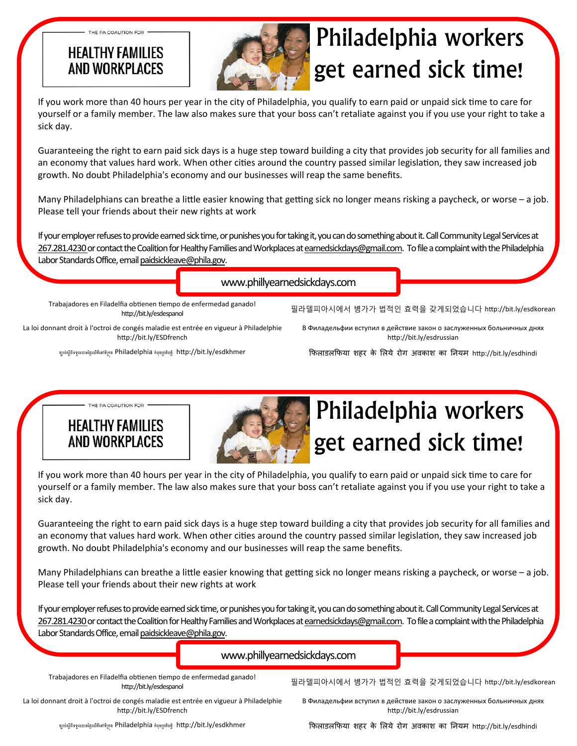#### **HEALTHY FAMILIES** AND WORKPLACES

THE PA COALITION FOR .



# Philadelphia workers get earned sick time!

If you work more than 40 hours per year in the city of Philadelphia, you qualify to earn paid or unpaid sick time to care for yourself or a family member. The law also makes sure that your boss can't retaliate against you if you use your right to take a sick day.

Guaranteeing the right to earn paid sick days is a huge step toward building a city that provides job security for all families and an economy that values hard work. When other cities around the country passed similar legislation, they saw increased job growth. No doubt Philadelphia's economy and our businesses will reap the same benefits.

Many Philadelphians can breathe a little easier knowing that getting sick no longer means risking a paycheck, or worse – a job. Please tell your friends about their new rights at work

If your employer refuses to provide earned sick time, or punishes you for taking it, you can do something about it. Call Community Legal Services at 267.281.4230 or contact the Coalition for Healthy Families and Workplaces at earnedsickdays@gmail.com. To file a complaint with the Philadelphia Labor Standards Office, email paidsickleave@phila.gov.

www.phillyearnedsickdays.com

Trabajadores en Filadelfia obtienen tiempo de enfermedad ganado! http://bit.ly/esdespanol

La loi donnant droit à l'octroi de congés maladie est entrée en vigueur à Philadelphie http://bit.ly/ESDfrench

ច្បាប់ស្តីពីទទួលបានថ្ងៃឈឺគឺនៅទីក្រុង Philadelphia កំពុងប្រតិបត្តិ http://bit.ly/esdkhmer

В Филадельфии вступил в действие закон о заслуженных больничных днях http://bit.ly/esdrussian

필라델피아시에서 병가가 법적인 효력을 갖게되었습니다 http://bit.ly/esdkorean

िफलाडलिफया शहर के िलये रोग अवकाश का िनयम hƩp://bit.ly/esdhindi

**HEALTHY FAMILIES** AND WORKPI ACFS

- THE PA COALITION FOR .



## Philadelphia workers get earned sick time!

If you work more than 40 hours per year in the city of Philadelphia, you qualify to earn paid or unpaid sick time to care for yourself or a family member. The law also makes sure that your boss can't retaliate against you if you use your right to take a sick day.

Guaranteeing the right to earn paid sick days is a huge step toward building a city that provides job security for all families and an economy that values hard work. When other cities around the country passed similar legislation, they saw increased job growth. No doubt Philadelphia's economy and our businesses will reap the same benefits.

Many Philadelphians can breathe a little easier knowing that getting sick no longer means risking a paycheck, or worse – a job. Please tell your friends about their new rights at work

If your employer refuses to provide earned sick time, or punishes you for taking it, you can do something about it. Call Community Legal Services at 267.281.4230 or contact the Coalition for Healthy Families and Workplaces at earnedsickdays@gmail.com. To file a complaint with the Philadelphia Labor Standards Office, email paidsickleave@phila.gov.

#### www.phillyearnedsickdays.com

Trabajadores en Filadelfia obtienen tiempo de enfermedad ganado! http://bit.ly/esdespanol

필라델피아시에서 병가가 법적인 효력을 갖게되었습니다 http://bit.ly/esdkorean

La loi donnant droit à l'octroi de congés maladie est entrée en vigueur à Philadelphie http://bit.ly/ESDfrench

В Филадельфии вступил в действие закон о заслуженных больничных днях http://bit.ly/esdrussian

ច្បាប់ស្តីពីទទួលបានថ្ងៃឈឺគឺនៅទីក្រុង Philadelphia កំពុងប្រតិបត្តិ http://bit.ly/esdkhmer

िफलाडलिफया शहर के िलये रोग अवकाश का िनयम hƩp://bit.ly/esdhindi